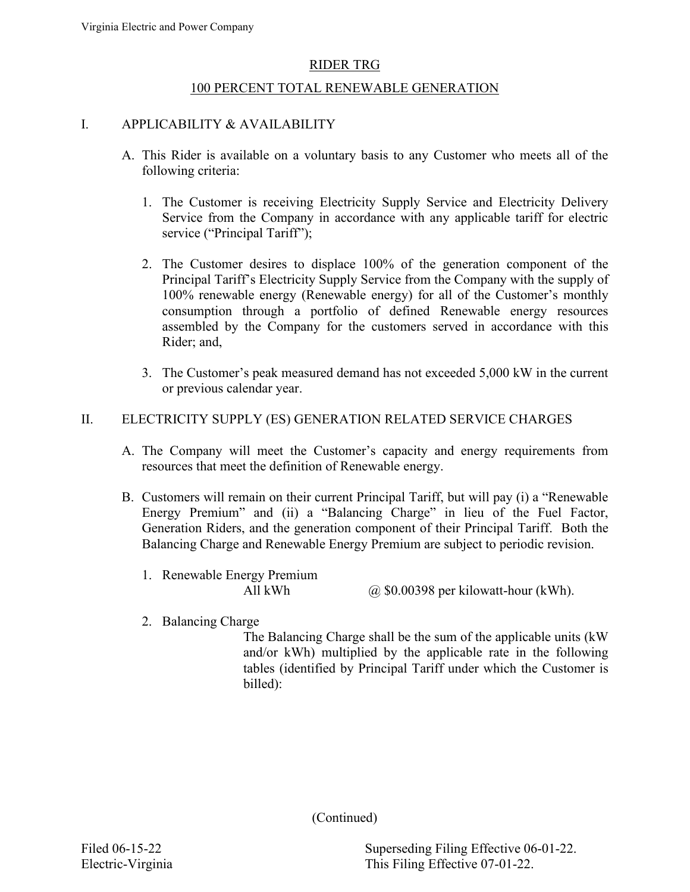### 100 PERCENT TOTAL RENEWABLE GENERATION

### I. APPLICABILITY & AVAILABILITY

- A. This Rider is available on a voluntary basis to any Customer who meets all of the following criteria:
	- 1. The Customer is receiving Electricity Supply Service and Electricity Delivery Service from the Company in accordance with any applicable tariff for electric service ("Principal Tariff");
	- 2. The Customer desires to displace 100% of the generation component of the Principal Tariff's Electricity Supply Service from the Company with the supply of 100% renewable energy (Renewable energy) for all of the Customer's monthly consumption through a portfolio of defined Renewable energy resources assembled by the Company for the customers served in accordance with this Rider; and,
	- 3. The Customer's peak measured demand has not exceeded 5,000 kW in the current or previous calendar year.

### II. ELECTRICITY SUPPLY (ES) GENERATION RELATED SERVICE CHARGES

- A. The Company will meet the Customer's capacity and energy requirements from resources that meet the definition of Renewable energy.
- B. Customers will remain on their current Principal Tariff, but will pay (i) a "Renewable Energy Premium" and (ii) a "Balancing Charge" in lieu of the Fuel Factor, Generation Riders, and the generation component of their Principal Tariff. Both the Balancing Charge and Renewable Energy Premium are subject to periodic revision.
	- 1. Renewable Energy Premium
		- All kWh  $\omega$  \$0.00398 per kilowatt-hour (kWh).
	- 2. Balancing Charge

The Balancing Charge shall be the sum of the applicable units (kW and/or kWh) multiplied by the applicable rate in the following tables (identified by Principal Tariff under which the Customer is billed):

(Continued)

Filed 06-15-22 Superseding Filing Effective 06-01-22. Electric-Virginia This Filing Effective 07-01-22.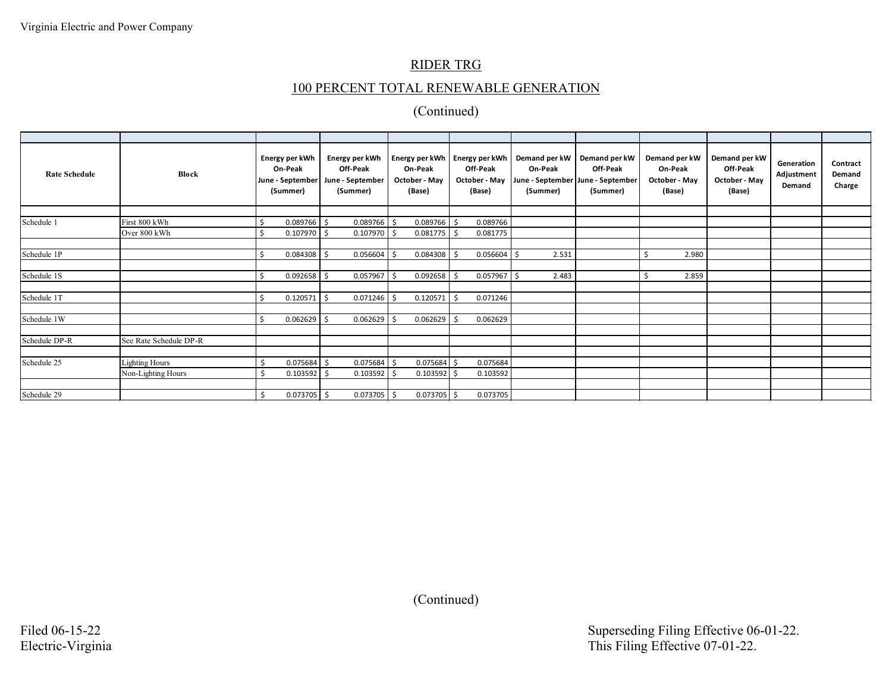## 100 PERCENT TOTAL RENEWABLE GENERATION

| <b>Rate Schedule</b> | Block                  |      | Energy per kWh<br>On-Peak<br>June - September<br>(Summer) |      | Energy per kWh<br>Off-Peak<br>June - September<br>(Summer) |    | Energy per kWh<br>On-Peak<br>October - May<br>(Base) |     | Energy per kWh<br>Off-Peak<br>October - May<br>(Base) |    | Demand per kW<br>On-Peak<br>(Summer) | Demand per kW<br>Off-Peak<br>June - September June - September<br>(Summer) |   | Demand per kW<br>On-Peak<br>October - May<br>(Base) | Demand per kW<br>Off-Peak<br>October - May<br>(Base) | Generation<br>Adjustment<br>Demand | Contract<br>Demand<br>Charge |
|----------------------|------------------------|------|-----------------------------------------------------------|------|------------------------------------------------------------|----|------------------------------------------------------|-----|-------------------------------------------------------|----|--------------------------------------|----------------------------------------------------------------------------|---|-----------------------------------------------------|------------------------------------------------------|------------------------------------|------------------------------|
|                      |                        |      |                                                           |      |                                                            |    |                                                      |     |                                                       |    |                                      |                                                                            |   |                                                     |                                                      |                                    |                              |
| Schedule 1           | First 800 kWh          |      | $0.089766$ \$                                             |      | $0.089766$ \$                                              |    | $0.089766$ \$                                        |     | 0.089766                                              |    |                                      |                                                                            |   |                                                     |                                                      |                                    |                              |
|                      | Over 800 kWh           |      | $0.107970$ \$                                             |      | $0.107970$ \$                                              |    | $0.081775$ \$                                        |     | 0.081775                                              |    |                                      |                                                                            |   |                                                     |                                                      |                                    |                              |
|                      |                        |      |                                                           |      |                                                            |    |                                                      |     |                                                       |    |                                      |                                                                            |   |                                                     |                                                      |                                    |                              |
| Schedule 1P          |                        | S.   | 0.084308                                                  | l\$  | 0.056604                                                   | Ŝ. | $0.084308$ \$                                        |     | 0.056604                                              | -Ś | 2.531                                |                                                                            | Ŝ | 2.980                                               |                                                      |                                    |                              |
|                      |                        |      |                                                           |      |                                                            |    |                                                      |     |                                                       |    |                                      |                                                                            |   |                                                     |                                                      |                                    |                              |
| Schedule 1S          |                        | Ŝ.   | 0.092658                                                  | I\$  | 0.057967                                                   |    | $0.092658$ \$                                        |     | $0.057967$ \$                                         |    | 2.483                                |                                                                            |   | 2.859                                               |                                                      |                                    |                              |
|                      |                        |      |                                                           |      |                                                            |    |                                                      |     |                                                       |    |                                      |                                                                            |   |                                                     |                                                      |                                    |                              |
| Schedule 1T          |                        | . \$ | 0.120571                                                  | I \$ | 0.071246                                                   |    | 0.120571                                             |     | 0.071246                                              |    |                                      |                                                                            |   |                                                     |                                                      |                                    |                              |
|                      |                        |      |                                                           |      |                                                            |    |                                                      |     |                                                       |    |                                      |                                                                            |   |                                                     |                                                      |                                    |                              |
| Schedule 1W          |                        | . Ś  | 0.062629                                                  | -Ś   | 0.062629                                                   |    | 0.062629                                             |     | 0.062629                                              |    |                                      |                                                                            |   |                                                     |                                                      |                                    |                              |
|                      |                        |      |                                                           |      |                                                            |    |                                                      |     |                                                       |    |                                      |                                                                            |   |                                                     |                                                      |                                    |                              |
| Schedule DP-R        | See Rate Schedule DP-R |      |                                                           |      |                                                            |    |                                                      |     |                                                       |    |                                      |                                                                            |   |                                                     |                                                      |                                    |                              |
|                      |                        |      |                                                           |      |                                                            |    |                                                      |     |                                                       |    |                                      |                                                                            |   |                                                     |                                                      |                                    |                              |
| Schedule 25          | <b>Lighting Hours</b>  |      | 0.075684                                                  | . \$ | 0.075684                                                   |    | 0.075684                                             | l S | 0.075684                                              |    |                                      |                                                                            |   |                                                     |                                                      |                                    |                              |
|                      | Non-Lighting Hours     |      | 0.103592                                                  | Ŝ.   | 0.103592                                                   |    | 0.103592                                             |     | 0.103592                                              |    |                                      |                                                                            |   |                                                     |                                                      |                                    |                              |
|                      |                        |      |                                                           |      |                                                            |    |                                                      |     |                                                       |    |                                      |                                                                            |   |                                                     |                                                      |                                    |                              |
| Schedule 29          |                        |      | $0.073705$ \$                                             |      | $0.073705$ \$                                              |    | $0.073705$ \$                                        |     | 0.073705                                              |    |                                      |                                                                            |   |                                                     |                                                      |                                    |                              |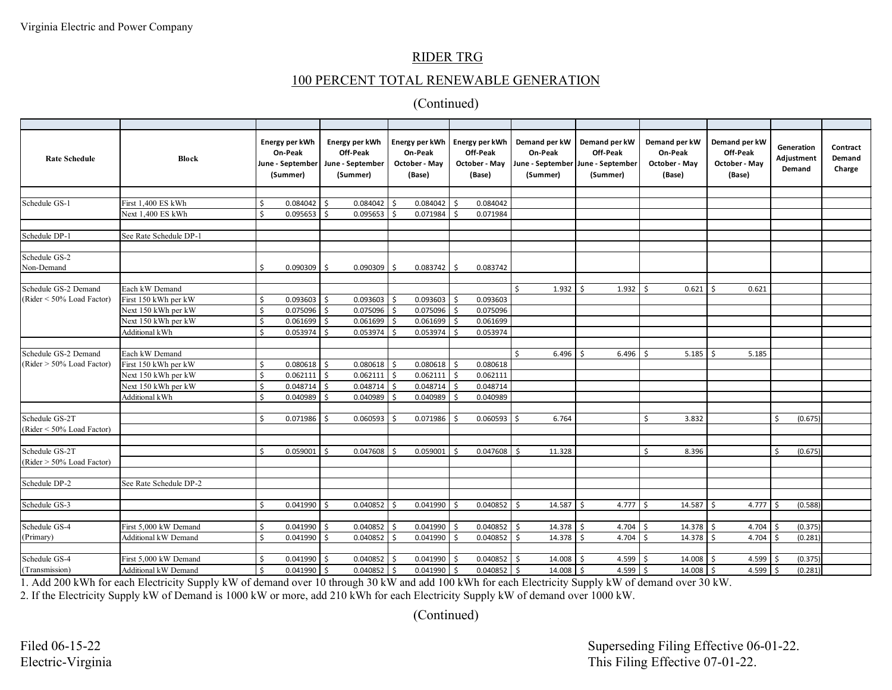### 100 PERCENT TOTAL RENEWABLE GENERATION

### (Continued)

| <b>Rate Schedule</b>         | <b>Block</b>                |         | Energy per kWh<br>On-Peak<br>June - September<br>(Summer) |              | Energy per kWh<br>Off-Peak<br>June - September<br>(Summer) |              | Energy per kWh<br>On-Peak<br>October - May<br>(Base) |          | Energy per kWh<br>Off-Peak<br>October - May<br>(Base) |     | Demand per kW<br>On-Peak<br>(Summer) | Demand per kW<br>Off-Peak<br>June - September   June - September<br>(Summer) |    | Demand per kW<br>On-Peak<br>October - May<br>(Base) | Demand per kW<br>Off-Peak<br>October - May<br>(Base) |               | Generation<br>Adjustment<br>Demand | Contract<br>Demand<br>Charge |
|------------------------------|-----------------------------|---------|-----------------------------------------------------------|--------------|------------------------------------------------------------|--------------|------------------------------------------------------|----------|-------------------------------------------------------|-----|--------------------------------------|------------------------------------------------------------------------------|----|-----------------------------------------------------|------------------------------------------------------|---------------|------------------------------------|------------------------------|
|                              |                             |         |                                                           |              |                                                            |              |                                                      |          |                                                       |     |                                      |                                                                              |    |                                                     |                                                      |               |                                    |                              |
| Schedule GS-1                | First 1,400 ES kWh          | Ś       | 0.084042                                                  | $\mathsf{S}$ | $0.084042$ \$                                              |              | $0.084042$ \$                                        |          | 0.084042                                              |     |                                      |                                                                              |    |                                                     |                                                      |               |                                    |                              |
|                              | Next 1,400 ES kWh           | $\zeta$ | $0.095653$ \$                                             |              | $0.095653$ \$                                              |              | $0.071984$ \$                                        |          | 0.071984                                              |     |                                      |                                                                              |    |                                                     |                                                      |               |                                    |                              |
|                              |                             |         |                                                           |              |                                                            |              |                                                      |          |                                                       |     |                                      |                                                                              |    |                                                     |                                                      |               |                                    |                              |
| Schedule DP-1                | See Rate Schedule DP-1      |         |                                                           |              |                                                            |              |                                                      |          |                                                       |     |                                      |                                                                              |    |                                                     |                                                      |               |                                    |                              |
| Schedule GS-2                |                             |         |                                                           |              |                                                            |              |                                                      |          |                                                       |     |                                      |                                                                              |    |                                                     |                                                      |               |                                    |                              |
| Non-Demand                   |                             | Ś       | 0.090309                                                  | S.           | 0.090309                                                   | \$           | 0.083742                                             | \$       | 0.083742                                              |     |                                      |                                                                              |    |                                                     |                                                      |               |                                    |                              |
|                              |                             |         |                                                           |              |                                                            |              |                                                      |          |                                                       |     |                                      |                                                                              |    |                                                     |                                                      |               |                                    |                              |
| Schedule GS-2 Demand         | Each kW Demand              |         |                                                           |              |                                                            |              |                                                      |          |                                                       | Ś   | $1.932$ \$                           | 1.932                                                                        | Ŝ. | $0.621$ \$                                          | 0.621                                                |               |                                    |                              |
| $(Rider < 50\%$ Load Factor) | First 150 kWh per kW        | Ś       | 0.093603                                                  | -\$          | 0.093603                                                   | Ŝ.           | 0.093603                                             | S.       | 0.093603                                              |     |                                      |                                                                              |    |                                                     |                                                      |               |                                    |                              |
|                              | Next 150 kWh per kW         | Ś       | 0.075096                                                  | Ŝ.           | 0.075096                                                   |              | 0.075096                                             | -Ś       | 0.075096                                              |     |                                      |                                                                              |    |                                                     |                                                      |               |                                    |                              |
|                              | Next 150 kWh per kW         | \$      | 0.061699                                                  | l s          | $0.061699$ \$                                              |              | $0.061699$ \$                                        |          | 0.061699                                              |     |                                      |                                                                              |    |                                                     |                                                      |               |                                    |                              |
|                              | Additional kWh              | Ś       | 0.053974                                                  | Ŝ.           | 0.053974                                                   | \$           | 0.053974                                             | <b>S</b> | 0.053974                                              |     |                                      |                                                                              |    |                                                     |                                                      |               |                                    |                              |
|                              |                             |         |                                                           |              |                                                            |              |                                                      |          |                                                       |     |                                      |                                                                              |    |                                                     |                                                      |               |                                    |                              |
| Schedule GS-2 Demand         | Each kW Demand              |         |                                                           |              |                                                            |              |                                                      |          |                                                       |     | 6.496                                | 6.496<br>Ŝ                                                                   | -Ś | 5.185                                               | 5.185<br>ς                                           |               |                                    |                              |
| (Rider $> 50\%$ Load Factor) | First 150 kWh per kW        | Ś       | $0.080618$ \$                                             |              | $0.080618$ \$                                              |              | 0.080618                                             | - Ś      | 0.080618                                              |     |                                      |                                                                              |    |                                                     |                                                      |               |                                    |                              |
|                              | Next 150 kWh per kW         | Ŝ.      | 0.062111                                                  | Ŝ.           | 0.062111                                                   | $\mathsf{S}$ | $0.062111$ \$                                        |          | 0.062111                                              |     |                                      |                                                                              |    |                                                     |                                                      |               |                                    |                              |
|                              | Next 150 kWh per kW         | Ś       | 0.048714                                                  | -\$          | 0.048714                                                   | Ś.           | 0.048714                                             | -\$      | 0.048714                                              |     |                                      |                                                                              |    |                                                     |                                                      |               |                                    |                              |
|                              | Additional kWh              | $\zeta$ | 0.040989                                                  | \$           | 0.040989                                                   | \$           | 0.040989                                             | S.       | 0.040989                                              |     |                                      |                                                                              |    |                                                     |                                                      |               |                                    |                              |
|                              |                             |         |                                                           |              |                                                            |              |                                                      |          |                                                       |     |                                      |                                                                              |    |                                                     |                                                      |               |                                    |                              |
| Schedule GS-2T               |                             | Ś       | 0.071986                                                  | l \$         | $0.060593$ \$                                              |              | $0.071986$ \$                                        |          | 0.060593                                              | Ŝ.  | 6.764                                |                                                                              | Ś  | 3.832                                               |                                                      | \$            | (0.675)                            |                              |
| (Rider < 50% Load Factor)    |                             |         |                                                           |              |                                                            |              |                                                      |          |                                                       |     |                                      |                                                                              |    |                                                     |                                                      |               |                                    |                              |
|                              |                             |         |                                                           |              |                                                            |              |                                                      |          |                                                       |     |                                      |                                                                              |    |                                                     |                                                      |               |                                    |                              |
| Schedule GS-2T               |                             | Ś       | 0.059001                                                  | -\$          | $0.047608$ \$                                              |              | 0.059001                                             | -Ś       | 0.047608                                              |     | 11.328                               |                                                                              | Ś  | 8.396                                               |                                                      | <sup>\$</sup> | (0.675)                            |                              |
| (Rider $> 50\%$ Load Factor) |                             |         |                                                           |              |                                                            |              |                                                      |          |                                                       |     |                                      |                                                                              |    |                                                     |                                                      |               |                                    |                              |
|                              |                             |         |                                                           |              |                                                            |              |                                                      |          |                                                       |     |                                      |                                                                              |    |                                                     |                                                      |               |                                    |                              |
| Schedule DP-2                | See Rate Schedule DP-2      |         |                                                           |              |                                                            |              |                                                      |          |                                                       |     |                                      |                                                                              |    |                                                     |                                                      |               |                                    |                              |
|                              |                             |         |                                                           |              |                                                            |              |                                                      |          |                                                       |     |                                      |                                                                              |    |                                                     |                                                      |               |                                    |                              |
| Schedule GS-3                |                             | Ś       | 0.041990                                                  | l \$         | $0.040852$ \$                                              |              | $0.041990$ \$                                        |          | 0.040852                                              | Ŝ.  | $14.587$ \$                          | $4.777$ \$                                                                   |    | $14.587$ \$                                         | 4.777                                                | Ŝ.            | (0.588)                            |                              |
|                              |                             |         |                                                           |              |                                                            |              |                                                      |          |                                                       |     |                                      |                                                                              |    |                                                     |                                                      |               |                                    |                              |
| Schedule GS-4                | First 5,000 kW Demand       | $\zeta$ | 0.041990                                                  | \$           | 0.040852                                                   | Ŝ.           | 0.041990                                             | -Ś       | 0.040852                                              | Ŝ.  | 14.378                               | 4.704<br>Ŝ                                                                   | Ŝ. | 14.378                                              | 4.704<br>$\overline{\mathsf{S}}$                     | Ś.            | (0.375)                            |                              |
| (Primary)                    | <b>Additional kW Demand</b> | Ś       | 0.041990                                                  | Ŝ.           | 0.040852                                                   | Ŝ.           | 0.041990                                             | - Ś      | 0.040852                                              | Ŝ.  | 14.378                               | $4.704$ \$<br>Ŝ.                                                             |    | 14.378                                              | Ŝ.<br>4.704                                          | Ŝ.            | (0.281)                            |                              |
|                              |                             |         |                                                           |              |                                                            |              |                                                      |          |                                                       |     |                                      |                                                                              |    |                                                     |                                                      |               |                                    |                              |
| Schedule GS-4                | First 5,000 kW Demand       | Ŝ       | 0.041990                                                  | Ŝ.           | 0.040852                                                   | Ŝ.           | $0.041990$ \$                                        |          | 0.040852                                              | - Ś | $14.008$ \$                          | $4.599$ \$                                                                   |    | 14.008                                              | ۱s<br>4.599                                          | -Ś            | (0.375)                            |                              |
| (Transmission)               | <b>Additional kW Demand</b> | Ś       | 0.041990                                                  | \$           | 0.040852                                                   | \$           | 0.041990                                             | \$       | 0.040852                                              | -\$ | $14.008$ \$                          | $4.599$ \$                                                                   |    | 14.008                                              | -\$<br>4.599                                         | -\$           | (0.281)                            |                              |

1. Add 200 kWh for each Electricity Supply kW of demand over 10 through 30 kW and add 100 kWh for each Electricity Supply kW of demand over 30 kW.

2. If the Electricity Supply kW of Demand is 1000 kW or more, add 210 kWh for each Electricity Supply kW of demand over 1000 kW.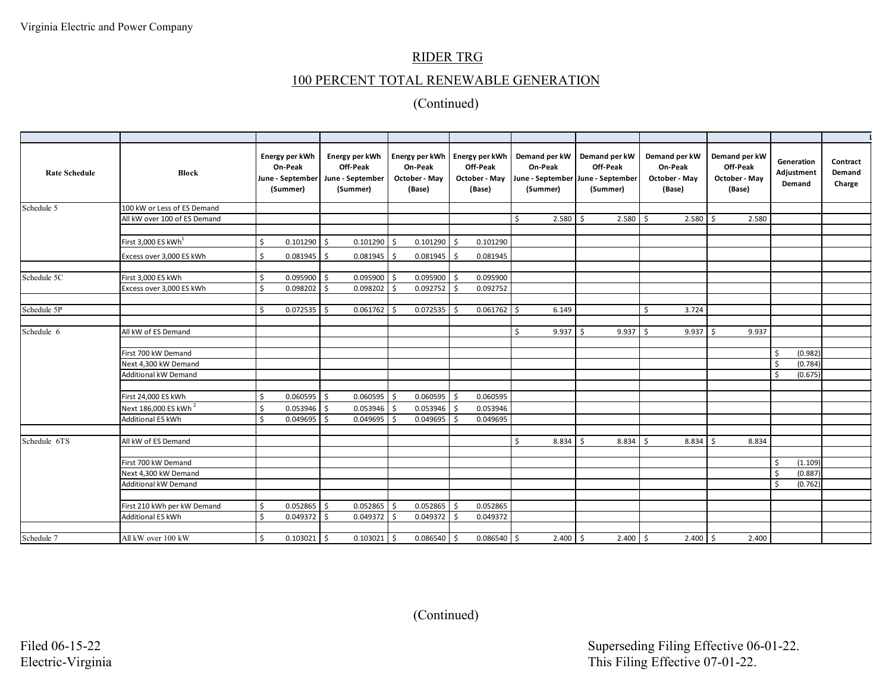# 100 PERCENT TOTAL RENEWABLE GENERATION

| <b>Rate Schedule</b> | <b>Block</b>                                     |          | Energy per kWh<br>On-Peak<br>June - September<br>(Summer) |          | Energy per kWh<br>Off-Peak<br>June - September<br>(Summer) |              | Energy per kWh Energy per kWh<br>On-Peak<br>October - May<br>(Base) |                     | Off-Peak<br>October - May June - September June - September<br>(Base) |   | Demand per kW   Demand per kW<br>On-Peak<br>(Summer) | Off-Peak<br>(Summer) |                           |    | Demand per kW<br>On-Peak<br>October - May<br>(Base) |      | Demand per kW<br>Off-Peak<br>October - May<br>(Base) |                    | Generation<br>Adjustment<br>Demand | Contract<br>Demand<br>Charge |
|----------------------|--------------------------------------------------|----------|-----------------------------------------------------------|----------|------------------------------------------------------------|--------------|---------------------------------------------------------------------|---------------------|-----------------------------------------------------------------------|---|------------------------------------------------------|----------------------|---------------------------|----|-----------------------------------------------------|------|------------------------------------------------------|--------------------|------------------------------------|------------------------------|
| Schedule 5           | 100 kW or Less of ES Demand                      |          |                                                           |          |                                                            |              |                                                                     |                     |                                                                       |   |                                                      |                      |                           |    |                                                     |      |                                                      |                    |                                    |                              |
|                      | All kW over 100 of ES Demand                     |          |                                                           |          |                                                            |              |                                                                     |                     |                                                                       | Ś | $2.580$ \$                                           |                      | $2.580$ \$                |    | 2.580                                               | ۱s   | 2.580                                                |                    |                                    |                              |
|                      |                                                  |          |                                                           |          |                                                            |              |                                                                     |                     |                                                                       |   |                                                      |                      |                           |    |                                                     |      |                                                      |                    |                                    |                              |
|                      | First $3,000$ ES kWh <sup>1</sup>                | Ś        | 0.101290                                                  | Ŝ.       | 0.101290                                                   | ۱s           | 0.101290                                                            | -\$                 | 0.101290                                                              |   |                                                      |                      |                           |    |                                                     |      |                                                      |                    |                                    |                              |
|                      | Excess over 3,000 ES kWh                         | Ś.       | 0.081945                                                  | Ŝ.       | 0.081945                                                   | I \$         | 0.081945                                                            | -\$                 | 0.081945                                                              |   |                                                      |                      |                           |    |                                                     |      |                                                      |                    |                                    |                              |
|                      |                                                  |          |                                                           |          |                                                            |              |                                                                     |                     |                                                                       |   |                                                      |                      |                           |    |                                                     |      |                                                      |                    |                                    |                              |
| Schedule 5C          | First 3,000 ES kWh                               | Ś        | 0.095900                                                  | Ŝ.       | 0.095900                                                   | l Ś          | 0.095900                                                            | l \$                | 0.095900                                                              |   |                                                      |                      |                           |    |                                                     |      |                                                      |                    |                                    |                              |
|                      | Excess over 3,000 ES kWh                         | \$       | 0.098202                                                  | S,       | 0.098202                                                   |              | 0.092752                                                            | S.                  | 0.092752                                                              |   |                                                      |                      |                           |    |                                                     |      |                                                      |                    |                                    |                              |
|                      |                                                  |          |                                                           |          |                                                            |              |                                                                     |                     |                                                                       |   |                                                      |                      |                           |    |                                                     |      |                                                      |                    |                                    |                              |
| Schedule 5P          |                                                  | Ś        | 0.072535                                                  | Ŝ.       | 0.061762                                                   |              | 0.072535                                                            | -Ś                  | $0.061762$ \$                                                         |   | 6.149                                                |                      |                           | Ŝ. | 3.724                                               |      |                                                      |                    |                                    |                              |
|                      |                                                  |          |                                                           |          |                                                            |              |                                                                     |                     |                                                                       |   |                                                      |                      |                           |    |                                                     |      |                                                      |                    |                                    |                              |
| Schedule 6           | All kW of ES Demand                              |          |                                                           |          |                                                            |              |                                                                     |                     |                                                                       | Ś | $9.937$ \$                                           |                      | $9.937$ \$                |    | $9.937$ \$                                          |      | 9.937                                                |                    |                                    |                              |
|                      | First 700 kW Demand                              |          |                                                           |          |                                                            |              |                                                                     |                     |                                                                       |   |                                                      |                      |                           |    |                                                     |      |                                                      | $\zeta$            | (0.982)                            |                              |
|                      | Next 4,300 kW Demand                             |          |                                                           |          |                                                            |              |                                                                     |                     |                                                                       |   |                                                      |                      |                           |    |                                                     |      |                                                      | -\$                | (0.784)                            |                              |
|                      | Additional kW Demand                             |          |                                                           |          |                                                            |              |                                                                     |                     |                                                                       |   |                                                      |                      |                           |    |                                                     |      |                                                      | $\dot{\mathsf{s}}$ | (0.675)                            |                              |
|                      |                                                  |          |                                                           |          |                                                            |              |                                                                     |                     |                                                                       |   |                                                      |                      |                           |    |                                                     |      |                                                      |                    |                                    |                              |
|                      | First 24,000 ES kWh                              | Ś        | 0.060595                                                  | \$       | 0.060595                                                   | l S          | 0.060595                                                            | $\ddot{\mathsf{S}}$ | 0.060595                                                              |   |                                                      |                      |                           |    |                                                     |      |                                                      |                    |                                    |                              |
|                      | Next 186,000 ES kWh <sup>2</sup>                 | Ś        | 0.053946                                                  | -Ś       | 0.053946                                                   |              | 0.053946                                                            | -\$                 | 0.053946                                                              |   |                                                      |                      |                           |    |                                                     |      |                                                      |                    |                                    |                              |
|                      | Additional ES kWh                                | Ŝ.       | 0.049695                                                  | -Ś       | 0.049695                                                   |              | 0.049695                                                            | $\zeta$             | 0.049695                                                              |   |                                                      |                      |                           |    |                                                     |      |                                                      |                    |                                    |                              |
|                      |                                                  |          |                                                           |          |                                                            |              |                                                                     |                     |                                                                       |   |                                                      |                      |                           |    |                                                     |      |                                                      |                    |                                    |                              |
| Schedule 6TS         | All kW of ES Demand                              |          |                                                           |          |                                                            |              |                                                                     |                     |                                                                       | Ś | $8.834$ \$                                           |                      | $8.834 \quad \frac{2}{5}$ |    | 8.834                                               | l \$ | 8.834                                                |                    |                                    |                              |
|                      |                                                  |          |                                                           |          |                                                            |              |                                                                     |                     |                                                                       |   |                                                      |                      |                           |    |                                                     |      |                                                      |                    |                                    |                              |
|                      | First 700 kW Demand                              |          |                                                           |          |                                                            |              |                                                                     |                     |                                                                       |   |                                                      |                      |                           |    |                                                     |      |                                                      | -\$                | (1.109)                            |                              |
|                      | Next 4,300 kW Demand                             |          |                                                           |          |                                                            |              |                                                                     |                     |                                                                       |   |                                                      |                      |                           |    |                                                     |      |                                                      | $\zeta$            | (0.887)                            |                              |
|                      | Additional kW Demand                             |          |                                                           |          |                                                            |              |                                                                     |                     |                                                                       |   |                                                      |                      |                           |    |                                                     |      |                                                      | \$                 | (0.762)                            |                              |
|                      |                                                  |          |                                                           |          |                                                            |              | 0.052865                                                            |                     |                                                                       |   |                                                      |                      |                           |    |                                                     |      |                                                      |                    |                                    |                              |
|                      | First 210 kWh per kW Demand<br>Additional ES kWh | Š.<br>Š. | 0.052865<br>0.049372                                      | Ś.<br>-Ś | 0.052865<br>0.049372                                       | l \$<br>l \$ | 0.049372                                                            | -\$<br>-\$          | 0.052865<br>0.049372                                                  |   |                                                      |                      |                           |    |                                                     |      |                                                      |                    |                                    |                              |
|                      |                                                  |          |                                                           |          |                                                            |              |                                                                     |                     |                                                                       |   |                                                      |                      |                           |    |                                                     |      |                                                      |                    |                                    |                              |
| Schedule 7           | All kW over 100 kW                               | Ś.       | $0.103021$ \$                                             |          | $0.103021$ \$                                              |              | 0.086540                                                            | \$                  | $0.086540$ \$                                                         |   | $2.400$ \$                                           |                      | $2.400 \div$              |    | $2.400$ \$                                          |      | 2.400                                                |                    |                                    |                              |
|                      |                                                  |          |                                                           |          |                                                            |              |                                                                     |                     |                                                                       |   |                                                      |                      |                           |    |                                                     |      |                                                      |                    |                                    |                              |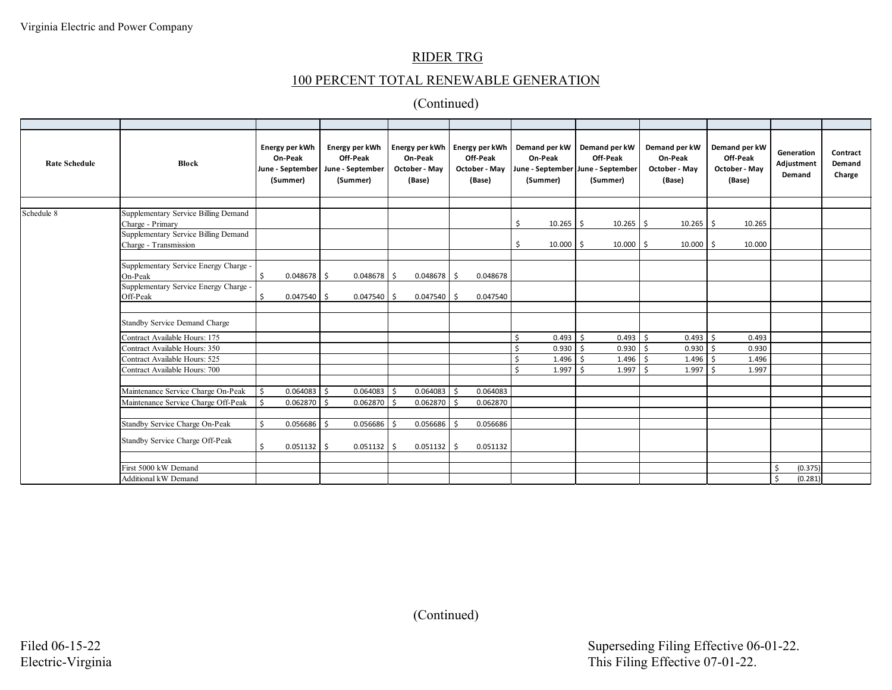# 100 PERCENT TOTAL RENEWABLE GENERATION

| <b>Rate Schedule</b> | <b>Block</b>                                                  | Energy per kWh<br>On-Peak<br>June - September<br>(Summer) | Energy per kWh<br>Off-Peak<br>June - September<br>(Summer) | On-Peak<br>October - May<br>(Base) | Energy per kWh   Energy per kWh  <br>Off-Peak<br>October - May<br>(Base) | On-Peak<br>(Summer)  | Demand per kW   Demand per kW<br>Off-Peak<br>June - September June - September<br>(Summer) | Demand per kW<br>On-Peak<br>October - May<br>(Base) | Demand per kW<br>Off-Peak<br>October - May<br>(Base) | Generation<br>Adjustment<br>Demand | Contract<br>Demand<br>Charge |
|----------------------|---------------------------------------------------------------|-----------------------------------------------------------|------------------------------------------------------------|------------------------------------|--------------------------------------------------------------------------|----------------------|--------------------------------------------------------------------------------------------|-----------------------------------------------------|------------------------------------------------------|------------------------------------|------------------------------|
|                      |                                                               |                                                           |                                                            |                                    |                                                                          |                      |                                                                                            |                                                     |                                                      |                                    |                              |
| Schedule 8           | Supplementary Service Billing Demand<br>Charge - Primary      |                                                           |                                                            |                                    |                                                                          | $10.265$ \$<br>Ŝ     | $10.265$ \$                                                                                | 10.265                                              | 10.265<br>S.                                         |                                    |                              |
|                      | Supplementary Service Billing Demand<br>Charge - Transmission |                                                           |                                                            |                                    |                                                                          | $10.000$ \$          | $10.000$ \$                                                                                | 10.000                                              | 10.000<br>\$                                         |                                    |                              |
|                      |                                                               |                                                           |                                                            |                                    |                                                                          |                      |                                                                                            |                                                     |                                                      |                                    |                              |
|                      | Supplementary Service Energy Charge -<br>On-Peak              | $0.048678$ \$<br>\$                                       | 0.048678                                                   | 0.048678<br>$\frac{1}{2}$          | 0.048678<br>-Ś                                                           |                      |                                                                                            |                                                     |                                                      |                                    |                              |
|                      | Supplementary Service Energy Charge -<br>Off-Peak             | 0.047540                                                  | 0.047540<br>Ŝ.                                             | 0.047540                           | 0.047540                                                                 |                      |                                                                                            |                                                     |                                                      |                                    |                              |
|                      |                                                               |                                                           |                                                            |                                    |                                                                          |                      |                                                                                            |                                                     |                                                      |                                    |                              |
|                      | <b>Standby Service Demand Charge</b>                          |                                                           |                                                            |                                    |                                                                          |                      |                                                                                            |                                                     |                                                      |                                    |                              |
|                      | Contract Available Hours: 175                                 |                                                           |                                                            |                                    |                                                                          | $0.493$ \$<br>Ś.     | $0.493$ \$                                                                                 | $0.493 \quad$ \$                                    | 0.493                                                |                                    |                              |
|                      | Contract Available Hours: 350                                 |                                                           |                                                            |                                    |                                                                          | $0.930 \, \, \},$    | $0.930$ \$                                                                                 | 0.930                                               | Ŝ.<br>0.930                                          |                                    |                              |
|                      | Contract Available Hours: 525                                 |                                                           |                                                            |                                    |                                                                          | 1.496<br>$\varsigma$ | 1.496<br>Ŝ.                                                                                | -\$<br>1.496                                        | \$<br>1.496                                          |                                    |                              |
|                      | Contract Available Hours: 700                                 |                                                           |                                                            |                                    |                                                                          | 1.997                | 1.997<br>ς.                                                                                | 1.997<br>-Ś                                         | Ŝ.<br>1.997                                          |                                    |                              |
|                      |                                                               |                                                           |                                                            |                                    |                                                                          |                      |                                                                                            |                                                     |                                                      |                                    |                              |
|                      | Maintenance Service Charge On-Peak                            | l \$<br>0.064083                                          | S.<br>0.064083                                             | 0.064083<br>Ŝ.                     | 0.064083<br>-Ś                                                           |                      |                                                                                            |                                                     |                                                      |                                    |                              |
|                      | Maintenance Service Charge Off-Peak                           | 0.062870<br>l \$                                          | 0.062870<br>S.                                             | 0.062870<br>Ŝ.                     | 0.062870                                                                 |                      |                                                                                            |                                                     |                                                      |                                    |                              |
|                      |                                                               |                                                           |                                                            |                                    |                                                                          |                      |                                                                                            |                                                     |                                                      |                                    |                              |
|                      | Standby Service Charge On-Peak                                | 0.056686 \$<br>Ŝ.                                         | 0.056686                                                   | 0.056686<br>- Ś                    | 0.056686                                                                 |                      |                                                                                            |                                                     |                                                      |                                    |                              |
|                      | Standby Service Charge Off-Peak                               | Ŝ.<br>$0.051132$ \$                                       | $0.051132$ \$                                              | 0.051132                           | 0.051132<br>Ŝ.                                                           |                      |                                                                                            |                                                     |                                                      |                                    |                              |
|                      |                                                               |                                                           |                                                            |                                    |                                                                          |                      |                                                                                            |                                                     |                                                      |                                    |                              |
|                      | First 5000 kW Demand                                          |                                                           |                                                            |                                    |                                                                          |                      |                                                                                            |                                                     |                                                      | (0.375)                            |                              |
|                      | <b>Additional kW Demand</b>                                   |                                                           |                                                            |                                    |                                                                          |                      |                                                                                            |                                                     |                                                      | (0.281)<br>Ŝ.                      |                              |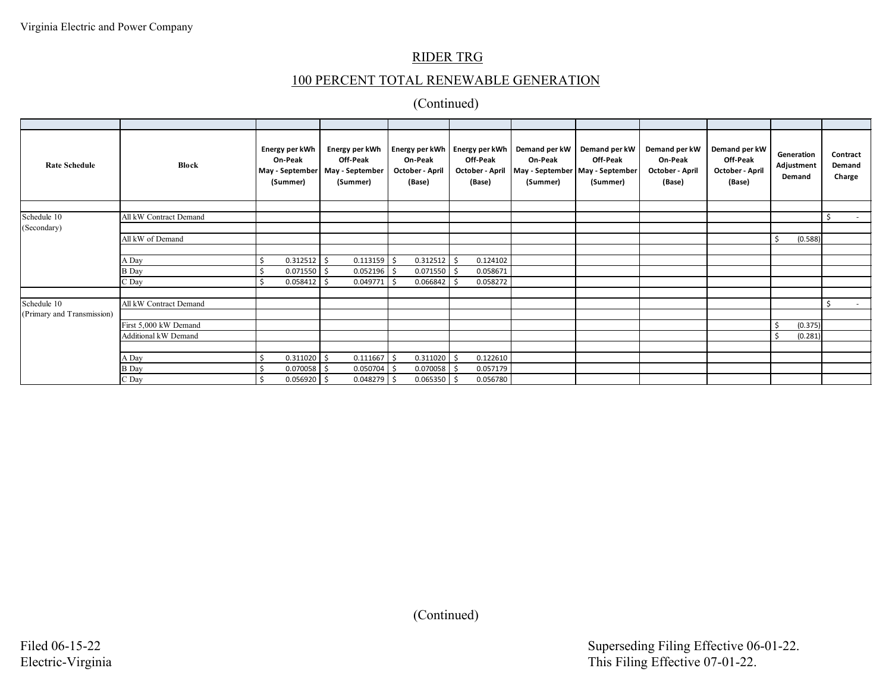# 100 PERCENT TOTAL RENEWABLE GENERATION

| <b>Rate Schedule</b>       | <b>Block</b>           | Energy per kWh<br>On-Peak<br>May - September<br>(Summer) | Energy per kWh<br>Off-Peak<br>May - September<br>(Summer) | On-Peak<br>October - April<br>(Base) | Energy per kWh   Energy per kWh  <br>Off-Peak<br>October - April<br>(Base) | Demand per kW<br>On-Peak<br>(Summer) | Demand per kW<br>Off-Peak<br>May - September   May - September<br>(Summer) | Demand per kW<br>On-Peak<br>October - April<br>(Base) | Demand per kW<br>Off-Peak<br>October - April<br>(Base) | Generation<br>Adjustment<br>Demand | Contract<br>Demand<br>Charge |
|----------------------------|------------------------|----------------------------------------------------------|-----------------------------------------------------------|--------------------------------------|----------------------------------------------------------------------------|--------------------------------------|----------------------------------------------------------------------------|-------------------------------------------------------|--------------------------------------------------------|------------------------------------|------------------------------|
|                            |                        |                                                          |                                                           |                                      |                                                                            |                                      |                                                                            |                                                       |                                                        |                                    |                              |
| Schedule 10                | All kW Contract Demand |                                                          |                                                           |                                      |                                                                            |                                      |                                                                            |                                                       |                                                        |                                    | \$<br><b>Contract</b>        |
| (Secondary)                |                        |                                                          |                                                           |                                      |                                                                            |                                      |                                                                            |                                                       |                                                        |                                    |                              |
|                            | All kW of Demand       |                                                          |                                                           |                                      |                                                                            |                                      |                                                                            |                                                       |                                                        | (0.588)                            |                              |
|                            |                        |                                                          |                                                           |                                      |                                                                            |                                      |                                                                            |                                                       |                                                        |                                    |                              |
|                            | A Day                  | 0.312512                                                 | l \$<br>0.113159                                          | $0.312512$ \$                        | 0.124102                                                                   |                                      |                                                                            |                                                       |                                                        |                                    |                              |
|                            | <b>B</b> Day           | 0.071550                                                 | 0.052196                                                  | 0.071550                             | 0.058671                                                                   |                                      |                                                                            |                                                       |                                                        |                                    |                              |
|                            | C Day                  | 0.058412                                                 | 0.049771                                                  | 0.066842                             | 0.058272                                                                   |                                      |                                                                            |                                                       |                                                        |                                    |                              |
|                            |                        |                                                          |                                                           |                                      |                                                                            |                                      |                                                                            |                                                       |                                                        |                                    |                              |
| Schedule 10                | All kW Contract Demand |                                                          |                                                           |                                      |                                                                            |                                      |                                                                            |                                                       |                                                        |                                    | Ŝ.                           |
| (Primary and Transmission) |                        |                                                          |                                                           |                                      |                                                                            |                                      |                                                                            |                                                       |                                                        |                                    |                              |
|                            | First 5,000 kW Demand  |                                                          |                                                           |                                      |                                                                            |                                      |                                                                            |                                                       |                                                        | (0.375)                            |                              |
|                            | Additional kW Demand   |                                                          |                                                           |                                      |                                                                            |                                      |                                                                            |                                                       |                                                        | (0.281)                            |                              |
|                            |                        |                                                          |                                                           |                                      |                                                                            |                                      |                                                                            |                                                       |                                                        |                                    |                              |
|                            | A Day                  | 0.311020                                                 | 0.111667                                                  | 0.311020                             | 0.122610                                                                   |                                      |                                                                            |                                                       |                                                        |                                    |                              |
|                            | <b>B</b> Day           | 0.070058                                                 | 0.050704                                                  | 0.070058                             | 0.057179                                                                   |                                      |                                                                            |                                                       |                                                        |                                    |                              |
|                            | C Day                  | $0.056920$ \$                                            | 0.048279                                                  | 0.065350                             | 0.056780                                                                   |                                      |                                                                            |                                                       |                                                        |                                    |                              |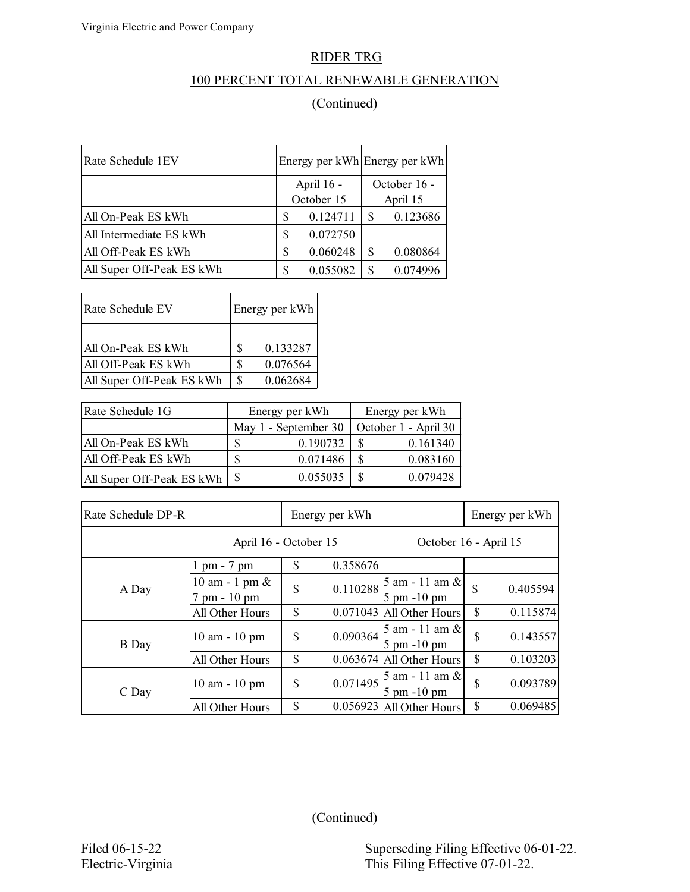## 100 PERCENT TOTAL RENEWABLE GENERATION

## (Continued)

| Rate Schedule 1EV         | Energy per kWh Energy per kWh |              |  |  |
|---------------------------|-------------------------------|--------------|--|--|
|                           | April 16 -                    | October 16 - |  |  |
|                           | October 15                    | April 15     |  |  |
| All On-Peak ES kWh        | 0.124711<br>S                 | 0.123686     |  |  |
| All Intermediate ES kWh   | 0.072750<br>S                 |              |  |  |
| All Off-Peak ES kWh       | 0.060248<br>S                 | 0.080864     |  |  |
| All Super Off-Peak ES kWh | 0.055082<br>S                 | 0.074996     |  |  |

| Rate Schedule EV          | Energy per kWh |
|---------------------------|----------------|
|                           |                |
| All On-Peak ES kWh        | 0.133287       |
| All Off-Peak ES kWh       | 0.076564<br>Я  |
| All Super Off-Peak ES kWh | \$<br>0.062684 |

| Rate Schedule 1G                        |               | Energy per kWh       | Energy per kWh       |  |  |  |
|-----------------------------------------|---------------|----------------------|----------------------|--|--|--|
|                                         |               | May 1 - September 30 | October 1 - April 30 |  |  |  |
| All On-Peak ES kWh                      |               | 0.190732             | 0.161340             |  |  |  |
| All Off-Peak ES kWh                     | <sup>\$</sup> | 0.071486             | 0.083160             |  |  |  |
| All Super Off-Peak ES kWh $\frac{1}{s}$ |               | 0.055035             | 0.079428             |  |  |  |

| Rate Schedule DP-R |                                     | Energy per kWh |                       |                                                       | Energy per kWh |          |
|--------------------|-------------------------------------|----------------|-----------------------|-------------------------------------------------------|----------------|----------|
|                    | April 16 - October 15               |                | October 16 - April 15 |                                                       |                |          |
|                    | $1 \text{ pm} - 7 \text{ pm}$       | $\mathcal{S}$  | 0.358676              |                                                       |                |          |
| A Day              | $10$ am - 1 pm $\&$<br>7 pm - 10 pm | \$             |                       | $0.110288\Big _{0.7}^{5}$ am - 11 am &<br>5 pm -10 pm | $\mathbf S$    | 0.405594 |
|                    | All Other Hours                     | \$             |                       | $0.071043$ All Other Hours                            | $\mathcal{S}$  | 0.115874 |
| B Day              | $10$ am $-10$ pm                    | $\mathcal{S}$  | 0.090364              | $5$ am - 11 am $\&$<br>$5 \text{ pm } -10 \text{ pm}$ | $\mathbf S$    | 0.143557 |
|                    | All Other Hours                     | $\mathcal{S}$  |                       | 0.063674 All Other Hours                              | $\mathcal{S}$  | 0.103203 |
| C Day              | $10$ am $-10$ pm                    | \$             | 0.071495              | 5 am - 11 am &<br>$5 \text{ pm } -10 \text{ pm}$      | $\mathcal{S}$  | 0.093789 |
|                    | All Other Hours                     | \$             |                       | $0.056923$ All Other Hours                            | $\mathcal{S}$  | 0.069485 |

Filed 06-15-22 Superseding Filing Effective 06-01-22. Electric-Virginia This Filing Effective 07-01-22.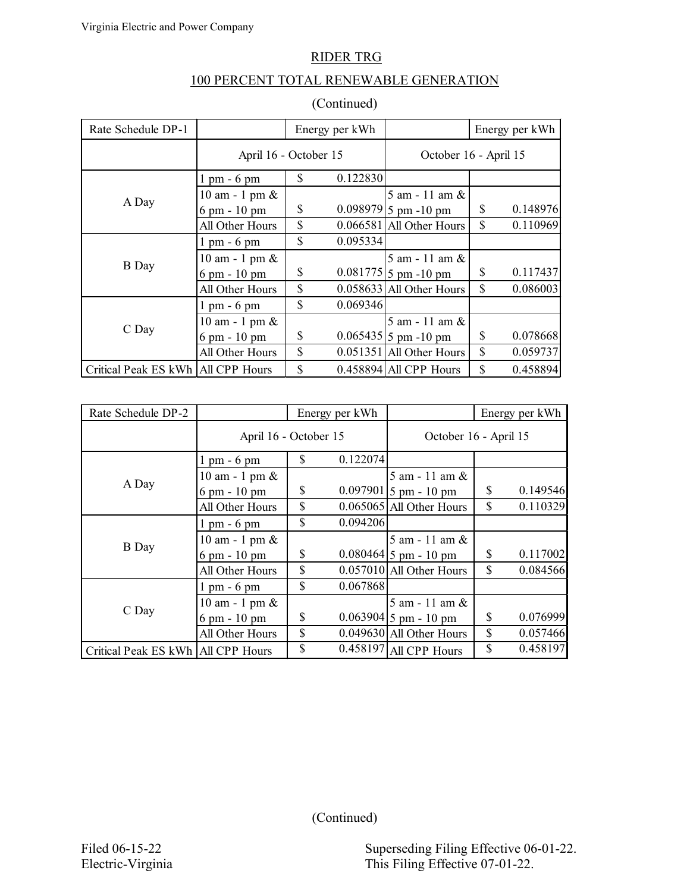### 100 PERCENT TOTAL RENEWABLE GENERATION

| Rate Schedule DP-1                   | Energy per kWh                |    |                       |                            |               | Energy per kWh |
|--------------------------------------|-------------------------------|----|-----------------------|----------------------------|---------------|----------------|
|                                      | April 16 - October 15         |    | October 16 - April 15 |                            |               |                |
|                                      | $1 \text{ pm} - 6 \text{ pm}$ | \$ | 0.122830              |                            |               |                |
|                                      | $10$ am - 1 pm $\&$           |    |                       | 5 am - 11 am $&$           |               |                |
| A Day                                | 6 pm - 10 pm                  | \$ |                       | 0.098979 5 pm -10 pm       | \$            | 0.148976       |
|                                      | All Other Hours               | \$ |                       | $0.066581$ All Other Hours | \$            | 0.110969       |
|                                      | $1 \text{ pm} - 6 \text{ pm}$ | \$ | 0.095334              |                            |               |                |
|                                      | $10$ am - 1 pm $\&$           |    |                       | $5$ am $-11$ am $\&$       |               |                |
| <b>B</b> Day                         | 6 pm - 10 pm                  | \$ |                       | $0.081775$ 5 pm -10 pm     | \$            | 0.117437       |
|                                      | All Other Hours               | \$ |                       | $0.058633$ All Other Hours | $\mathcal{S}$ | 0.086003       |
|                                      | $1 \text{ pm} - 6 \text{ pm}$ | \$ | 0.069346              |                            |               |                |
|                                      | $10$ am - 1 pm $\&$           |    |                       | 5 am - 11 am &             |               |                |
| C Day                                | 6 pm - 10 pm                  | \$ |                       | $0.065435$ 5 pm -10 pm     | \$            | 0.078668       |
|                                      | All Other Hours               | \$ |                       | $0.051351$ All Other Hours | \$            | 0.059737       |
| Critical Peak ES kWh   All CPP Hours |                               | \$ |                       | $0.458894$ All CPP Hours   | $\mathbb{S}$  | 0.458894       |

| Rate Schedule DP-2                   | Energy per kWh                |               |                       |                            | Energy per kWh |          |
|--------------------------------------|-------------------------------|---------------|-----------------------|----------------------------|----------------|----------|
|                                      | April 16 - October 15         |               | October 16 - April 15 |                            |                |          |
|                                      | $1 \text{ pm} - 6 \text{ pm}$ | \$            | 0.122074              |                            |                |          |
|                                      | $10$ am - 1 pm $\&$           |               |                       | $5$ am - 11 am $\&$        |                |          |
| A Day                                | 6 pm - 10 pm                  | \$            |                       | $0.097901$ 5 pm - 10 pm    | \$             | 0.149546 |
|                                      | All Other Hours               | $\mathcal{S}$ |                       | 0.065065 All Other Hours   | \$             | 0.110329 |
|                                      | $1 \text{ pm} - 6 \text{ pm}$ | $\mathbb{S}$  | 0.094206              |                            |                |          |
|                                      | $10$ am - 1 pm $\&$           |               |                       | 5 am - 11 am &             |                |          |
| <b>B</b> Day                         | 6 pm - 10 pm                  | \$            |                       | $0.080464$ 5 pm - 10 pm    | $\mathcal{S}$  | 0.117002 |
|                                      | All Other Hours               | \$            |                       | $0.057010$ All Other Hours | $\mathcal{S}$  | 0.084566 |
|                                      | $1 \text{ pm} - 6 \text{ pm}$ | \$            | 0.067868              |                            |                |          |
|                                      | $10$ am - 1 pm $\&$           |               |                       | $5$ am $-11$ am $\&$       |                |          |
| C Day                                | 6 pm - 10 pm                  | \$            |                       | $0.063904$ 5 pm - 10 pm    | $\mathcal{S}$  | 0.076999 |
|                                      | All Other Hours               | \$            |                       | 0.049630 All Other Hours   | $\mathcal{S}$  | 0.057466 |
| Critical Peak ES kWh   All CPP Hours |                               | \$            |                       | 0.458197 All CPP Hours     | $\mathcal{S}$  | 0.458197 |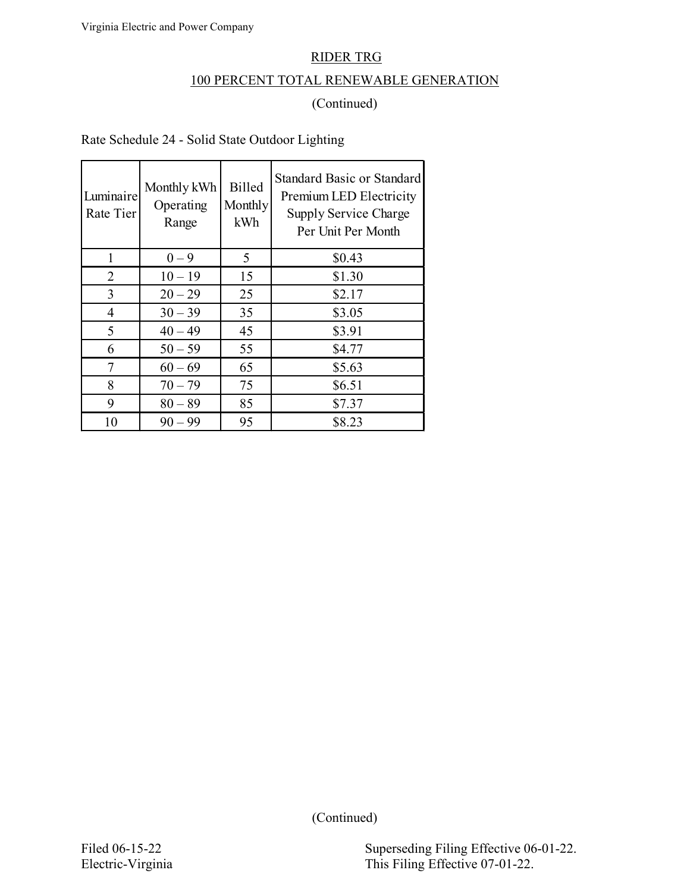## 100 PERCENT TOTAL RENEWABLE GENERATION

### (Continued)

Rate Schedule 24 - Solid State Outdoor Lighting

| Luminaire<br>Rate Tier | Monthly kWh<br>Operating<br>Range | Billed<br>Monthly<br>kWh | <b>Standard Basic or Standard</b><br>Premium LED Electricity<br>Supply Service Charge<br>Per Unit Per Month |
|------------------------|-----------------------------------|--------------------------|-------------------------------------------------------------------------------------------------------------|
| 1                      | $0 - 9$                           | 5                        | \$0.43                                                                                                      |
| 2                      | $10 - 19$                         | 15                       | \$1.30                                                                                                      |
| 3                      | $20 - 29$                         | 25                       | \$2.17                                                                                                      |
| $\overline{4}$         | $30 - 39$                         | 35                       | \$3.05                                                                                                      |
| 5                      | $40 - 49$                         | 45                       | \$3.91                                                                                                      |
| 6                      | $50 - 59$                         | 55                       | \$4.77                                                                                                      |
| 7                      | $60 - 69$                         | 65                       | \$5.63                                                                                                      |
| 8                      | $70 - 79$                         | 75                       | \$6.51                                                                                                      |
| 9                      | $80 - 89$                         | 85                       | \$7.37                                                                                                      |
| 10                     | $90 - 99$                         | 95                       | \$8.23                                                                                                      |

(Continued)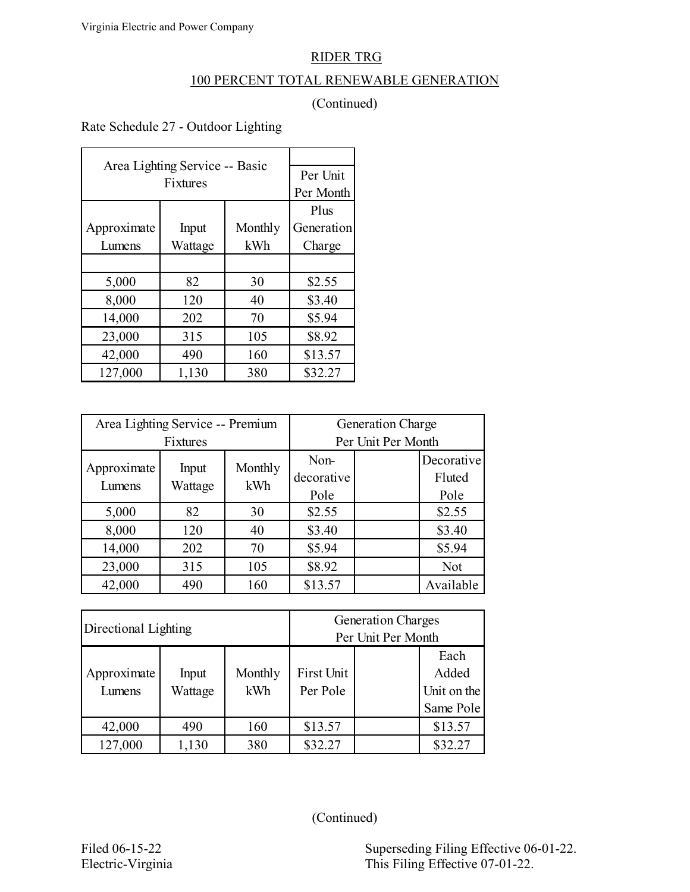### 100 PERCENT TOTAL RENEWABLE GENERATION

## (Continued)

Rate Schedule 27 - Outdoor Lighting

| Area Lighting Service -- Basic |           |         |            |
|--------------------------------|-----------|---------|------------|
|                                | Per Unit  |         |            |
|                                | Per Month |         |            |
|                                | Plus      |         |            |
| Approximate                    | Input     | Monthly | Generation |
| Lumens                         | Wattage   | kWh     | Charge     |
|                                |           |         |            |
| 5,000                          | 82        | 30      | \$2.55     |
| 8,000                          | 120       | 40      | \$3.40     |
| 14,000                         | 202       | 70      | \$5.94     |
| 23,000                         | 315       | 105     | \$8.92     |
| 42,000                         | \$13.57   |         |            |
| 127,000                        | 1,130     | 380     | \$32.27    |

| Area Lighting Service -- Premium |                  |                | <b>Generation Charge</b>   |  |                              |
|----------------------------------|------------------|----------------|----------------------------|--|------------------------------|
| <b>Fixtures</b>                  |                  |                | Per Unit Per Month         |  |                              |
| Approximate<br>Lumens            | Input<br>Wattage | Monthly<br>kWh | Non-<br>decorative<br>Pole |  | Decorative<br>Fluted<br>Pole |
| 5,000                            | 82               | 30             | \$2.55                     |  | \$2.55                       |
| 8,000                            | 120              | 40             | \$3.40                     |  | \$3.40                       |
| 14,000                           | 202              | 70             | \$5.94                     |  | \$5.94                       |
| 23,000                           | 315              | 105            | \$8.92                     |  | Not                          |
| 42,000                           | 490              | 160            | \$13.57                    |  | Available                    |

| Directional Lighting |         |         | <b>Generation Charges</b> |  |             |
|----------------------|---------|---------|---------------------------|--|-------------|
|                      |         |         | Per Unit Per Month        |  |             |
|                      |         |         |                           |  | Each        |
| Approximate          | Input   | Monthly | <b>First Unit</b>         |  | Added       |
| Lumens               | Wattage | kWh     | Per Pole                  |  | Unit on the |
|                      |         |         |                           |  | Same Pole   |
| 42,000               | 490     | 160     | \$13.57                   |  | \$13.57     |
| 127,000              | 1,130   | 380     | \$32.27                   |  | \$32.27     |

(Continued)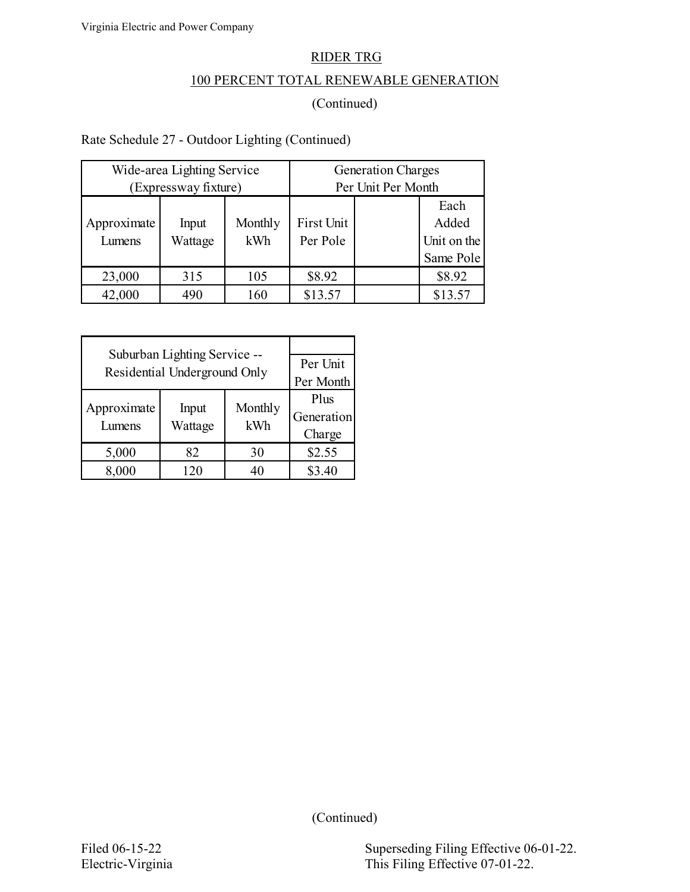## 100 PERCENT TOTAL RENEWABLE GENERATION

## (Continued)

## Rate Schedule 27 - Outdoor Lighting (Continued)

| Wide-area Lighting Service<br>(Expressway fixture) |                  |                | <b>Generation Charges</b><br>Per Unit Per Month |  |                                           |
|----------------------------------------------------|------------------|----------------|-------------------------------------------------|--|-------------------------------------------|
| Approximate<br>Lumens                              | Input<br>Wattage | Monthly<br>kWh | First Unit<br>Per Pole                          |  | Each<br>Added<br>Unit on the<br>Same Pole |
| 23,000                                             | 315              | 105            | \$8.92                                          |  | \$8.92                                    |
| 42,000                                             | 490              | 160            | \$13.57                                         |  | \$13.57                                   |

| Suburban Lighting Service --<br>Residential Underground Only | Per Unit<br>Per Month        |    |        |
|--------------------------------------------------------------|------------------------------|----|--------|
| Approximate<br>Lumens                                        | Plus<br>Generation<br>Charge |    |        |
| 5,000                                                        | 82                           | 30 | \$2.55 |
| 8,000                                                        | 120                          | 40 | \$3.40 |

(Continued)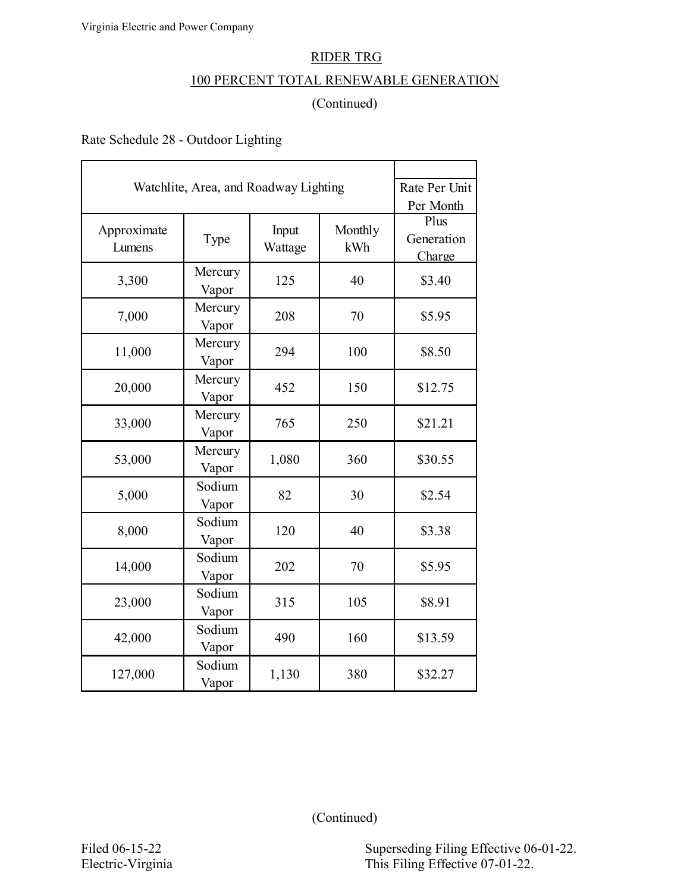### 100 PERCENT TOTAL RENEWABLE GENERATION

### (Continued)

Rate Schedule 28 - Outdoor Lighting

L

| Watchlite, Area, and Roadway Lighting | Rate Per Unit<br>Per Month |                  |                |                              |
|---------------------------------------|----------------------------|------------------|----------------|------------------------------|
| Approximate<br>Lumens                 | Type                       | Input<br>Wattage | Monthly<br>kWh | Plus<br>Generation<br>Charge |
| 3,300                                 | Mercury<br>Vapor           | 125              | 40             | \$3.40                       |
| 7,000                                 | Mercury<br>Vapor           | 208              | 70             | \$5.95                       |
| 11,000                                | Mercury<br>Vapor           | 294              | 100            | \$8.50                       |
| 20,000                                | Mercury<br>Vapor           | 452              | 150            | \$12.75                      |
| 33,000                                | Mercury<br>Vapor           | 765              | 250            | \$21.21                      |
| 53,000                                | Mercury<br>Vapor           | 1,080            | 360            | \$30.55                      |
| 5,000                                 | Sodium<br>Vapor            | 82               | 30             | \$2.54                       |
| 8,000                                 | Sodium<br>Vapor            | 120              | 40             | \$3.38                       |
| 14,000                                | Sodium<br>Vapor            | 202              | 70             | \$5.95                       |
| 23,000                                | Sodium<br>Vapor            | 315              | 105            | \$8.91                       |
| 42,000                                | Sodium<br>Vapor            | 490              | 160            | \$13.59                      |
| 127,000                               | Sodium<br>Vapor            | 1,130            | 380            | \$32.27                      |

(Continued)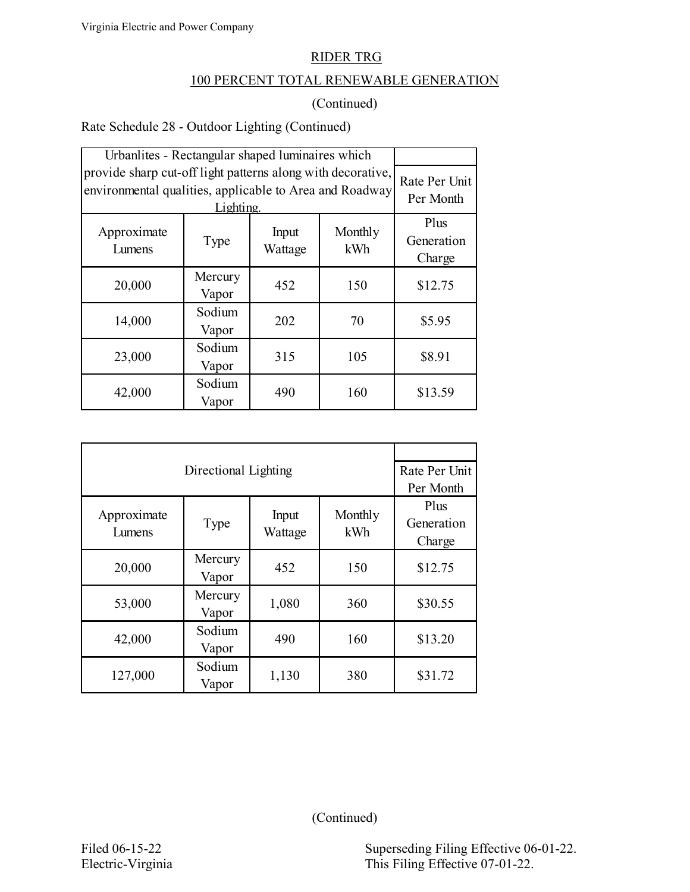### 100 PERCENT TOTAL RENEWABLE GENERATION

### (Continued)

Rate Schedule 28 - Outdoor Lighting (Continued)

| Urbanlites - Rectangular shaped luminaires which                                                                       |                              |     |     |         |
|------------------------------------------------------------------------------------------------------------------------|------------------------------|-----|-----|---------|
| provide sharp cut-off light patterns along with decorative,<br>environmental qualities, applicable to Area and Roadway | Rate Per Unit<br>Per Month   |     |     |         |
| Approximate<br>Lumens                                                                                                  | Plus<br>Generation<br>Charge |     |     |         |
| 20,000                                                                                                                 | Mercury<br>Vapor             | 452 | 150 | \$12.75 |
| 14,000                                                                                                                 | Sodium<br>Vapor              | 202 | 70  | \$5.95  |
| 23,000                                                                                                                 | Sodium<br>Vapor              | 315 | 105 | \$8.91  |
| 42,000                                                                                                                 | Sodium<br>Vapor              | 490 | 160 | \$13.59 |

|                       | Rate Per Unit    |                  |                |                              |
|-----------------------|------------------|------------------|----------------|------------------------------|
|                       | Per Month        |                  |                |                              |
| Approximate<br>Lumens | Type             | Input<br>Wattage | Monthly<br>kWh | Plus<br>Generation<br>Charge |
| 20,000                | Mercury<br>Vapor | 452              | 150            | \$12.75                      |
| 53,000                | Mercury<br>Vapor | 1,080            | 360            | \$30.55                      |
| 42,000                | Sodium<br>Vapor  | 490              | 160            | \$13.20                      |
| 127,000               | Sodium<br>Vapor  | 1,130            | 380            | \$31.72                      |

(Continued)